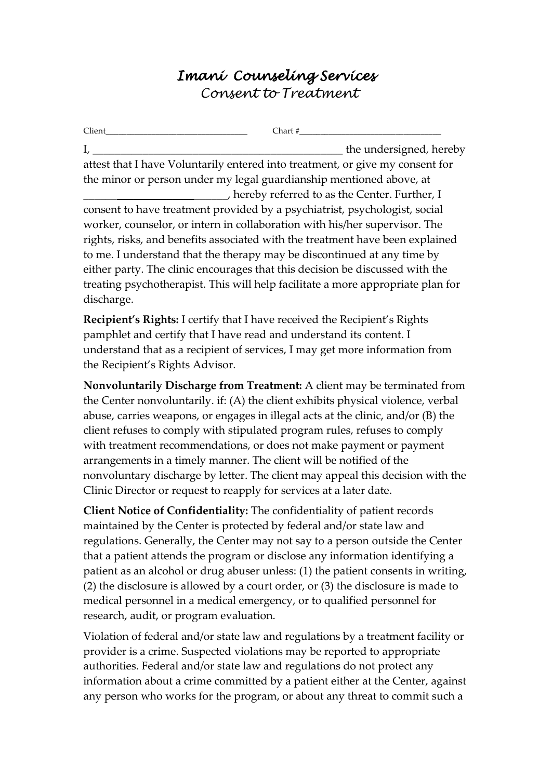## *Imani Counseling Services Consent to Treatment*

**Nonvoluntarily Discharge from Treatment:** A client may be terminated from the Center nonvoluntarily. if: (A) the client exhibits physical violence, verbal abuse, carries weapons, or engages in illegal acts at the clinic, and/or (B) the client refuses to comply with stipulated program rules, refuses to comply with treatment recommendations, or does not make payment or payment arrangements in a timely manner. The client will be notified of the nonvoluntary discharge by letter. The client may appeal this decision with the Clinic Director or request to reapply for services at a later date.

the Recipient's Rights Advisor.

**Client Notice of Confidentiality:** The confidentiality of patient records maintained by the Center is protected by federal and/or state law and regulations. Generally, the Center may not say to a person outside the Center that a patient attends the program or disclose any information identifying a patient as an alcohol or drug abuser unless: (1) the patient consents in writing, (2) the disclosure is allowed by a court order, or (3) the disclosure is made to medical personnel in a medical emergency, or to qualified personnel for research, audit, or program evaluation.

Violation of federal and/or state law and regulations by a treatment facility or provider is a crime. Suspected violations may be reported to appropriate authorities. Federal and/or state law and regulations do not protect any information about a crime committed by a patient either at the Center, against any person who works for the program, or about any threat to commit such a